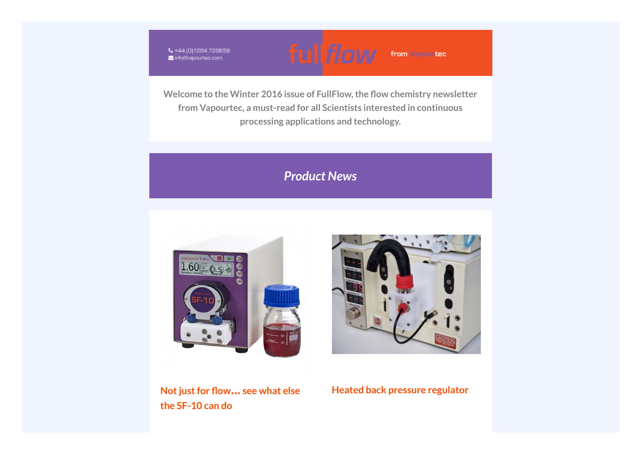₹+44 (0)1284 728659 info@vapourtec.com



**Welcome to the Winter 2016 issue of FullFlow,the ow chemistry newsletter from Vapourtec, a must-read for all Scientists interested in continuous processing applications and technology.**

# *Product News*





from Vapourtec

**Notjustfor ow… see what else the SF-10 can do**

## **Heated back pressure regulator**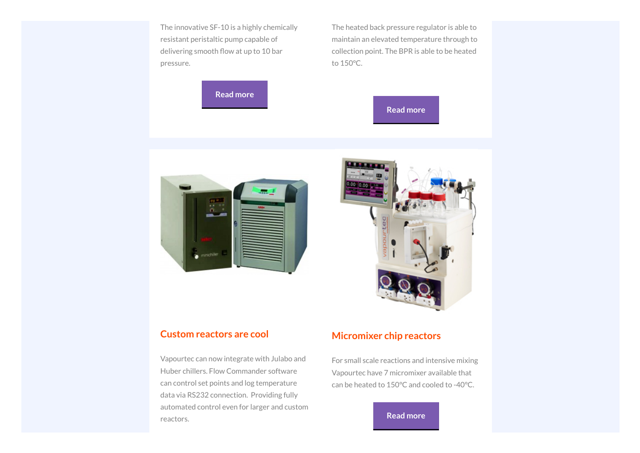The innovative SF-10 is a highly chemically resistant peristaltic pump capable of delivering smooth flow at up to 10 bar pressure.

**Read [more](http://vapourtec.createsend1.com/t/r-l-yhhuhhjk-l-j/)**

The heated back pressure regulator is able to maintain an elevated temperature through to collection point. The BPR is able to be heated to 150°C.







#### **Custom reactors are cool**

Vapourtec can now integrate with Julabo and Huber chillers. Flow Commander software can control set points and log temperature data via RS232 connection. Providing fully automated control even for larger and custom reactors.

#### **Micromixer chip reactors**

For small scale reactions and intensive mixing Vapourtec have 7 micromixer available that can be heated to 150°C and cooled to -40°C.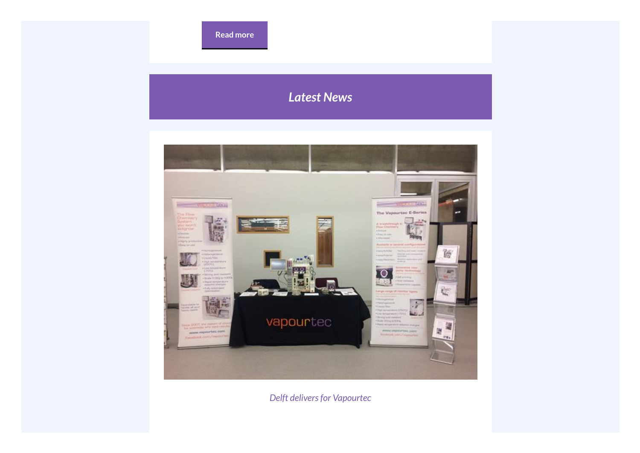# *Latest News*



*Delft deliversfor Vapourtec*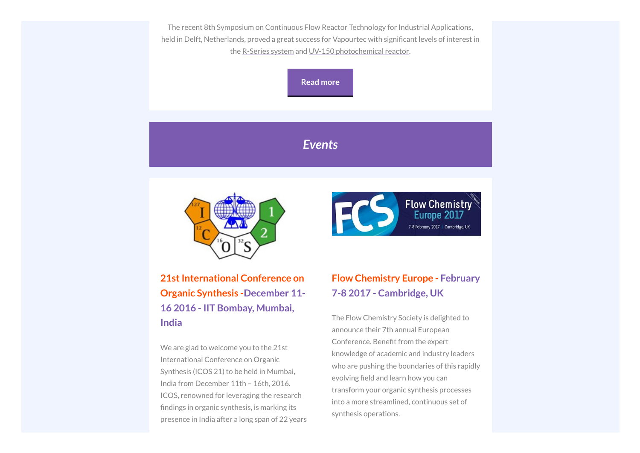The recent 8th Symposium on Continuous Flow Reactor Technology for Industrial Applications, held in Delft, Netherlands, proved a great success for Vapourtec with significant levels of interest in the [R-Series](http://vapourtec.createsend1.com/t/r-l-yhhuhhjk-l-b/) system and UV-150 [photochemical](http://vapourtec.createsend1.com/t/r-l-yhhuhhjk-l-n/) reactor.

**Read [more](http://vapourtec.createsend1.com/t/r-l-yhhuhhjk-l-p/)**

# *Events*



**Flow Chemistry FCS** 7-8 February 2017 | Cambridge, UK

**21st International Conference on Organic Synthesis -December 11- 16 2016 - IIT Bombay, Mumbai, India**

We are glad to welcome you to the 21st International Conference on Organic Synthesis (ICOS 21) to be held in Mumbai, India from December 11th – 16th, 2016. ICOS, renowned for leveraging the research findings in organic synthesis, is marking its presence in India after a long span of 22 years

# **Flow Chemistry Europe - February 7-8 2017 - Cambridge, UK**

The Flow Chemistry Society is delighted to announce their 7th annual European Conference. Benefit from the expert knowledge of academic and industry leaders who are pushing the boundaries of this rapidly evolving field and learn how you can transform your organic synthesis processes into a more streamlined, continuous set of synthesis operations.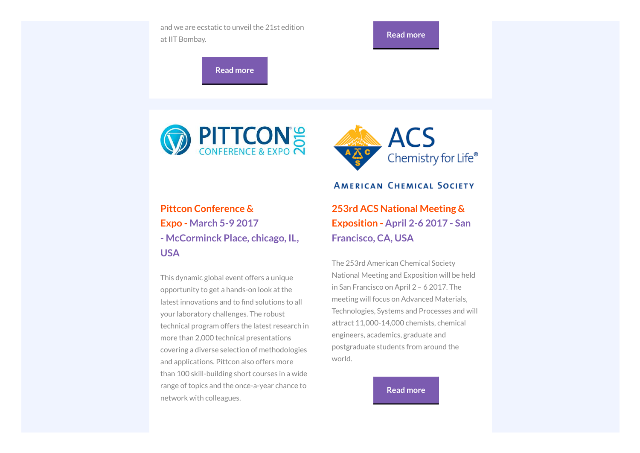



This dynamic global event offers a unique opportunity to get a hands-on look at the latest innovations and to find solutions to all your laboratory challenges. The robust technical program offers the latest research in more than 2,000 technical presentations covering a diverse selection of methodologies and applications. Pittcon also offers more than 100 skill-building short courses in a wide range of topics and the once-a-year chance to network with colleagues.

## **AMERICAN CHEMICAL SOCIETY**

**253rd ACS National Meeting & Exposition - April 2-6 2017 - San Francisco, CA, USA**

The 253rd American Chemical Society National Meeting and Exposition will be held in San Francisco on April 2 – 6 2017. The meeting will focus on Advanced Materials, Technologies, Systems and Processes and will attract 11,000-14,000 chemists, chemical engineers, academics, graduate and postgraduate students from around the world.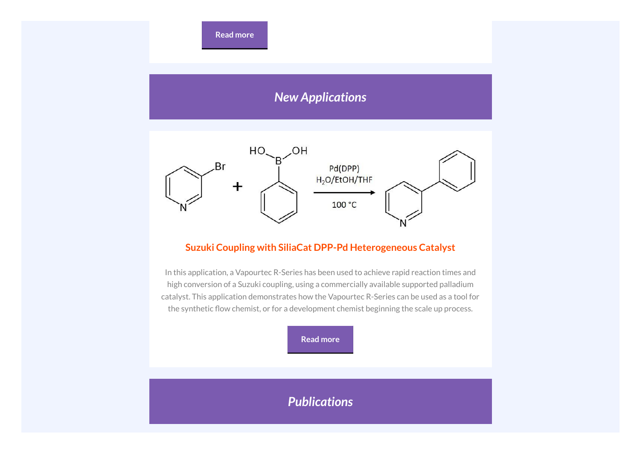**Read [more](http://vapourtec.createsend1.com/t/r-l-yhhuhhjk-l-f/)**

# *New Applications*



#### **Suzuki Coupling with SiliaCat DPP-Pd Heterogeneous Catalyst**

In this application, a Vapourtec R-Series has been used to achieve rapid reaction times and high conversion of a Suzuki coupling, using a commercially available supported palladium catalyst. This application demonstrates how the Vapourtec R-Series can be used as a tool for the synthetic flow chemist, or for a development chemist beginning the scale up process.



# *Publications*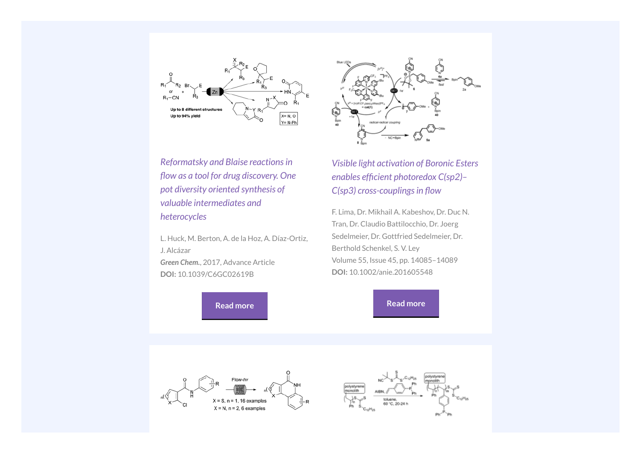



*Reformatsky and Blaise reactionsin flow as a tool for drug discovery. One pot diversity oriented synthesis of valuable intermediates and heterocycles*

L. Huck, M. Berton, A. de la Hoz, A. Díaz-Ortiz, J. Alcázar

*Green Chem.*, 2017, Advance Article **DOI:** 10.1039/C6GC02619B

**Read [more](http://vapourtec.createsend1.com/t/r-l-yhhuhhjk-l-w/)**

*Visible light activation of Boronic Esters enables efficient photoredox*  $C(sp2)$ -*C(sp3) cross-couplings in flow* 

F. Lima, Dr. Mikhail A. Kabeshov, Dr. Duc N. Tran, Dr. Claudio Battilocchio, Dr. Joerg Sedelmeier, Dr. Gottfried Sedelmeier, Dr. Berthold Schenkel, S. V. Ley Volume 55, Issue 45, pp. 14085–14089 **DOI:** 10.1002/anie.201605548

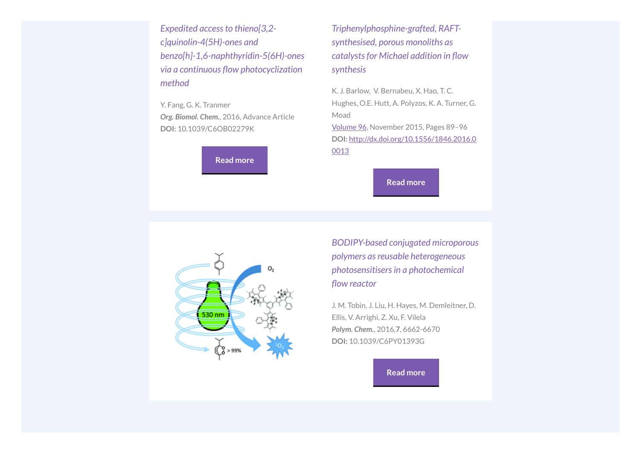*Expedited accessto thieno[3,2 c]quinolin-4(5H)-ones and benzo[h]-1,6-naphthyridin-5(6H)-ones*  $via a$  *continuous* flow *photocyclization method*

Y. Fang, G. K. Tranmer *Org. Biomol. Chem.*, 2016, Advance Article **DOI:** 10.1039/C6OB02279K

**Read [more](http://vapourtec.createsend1.com/t/r-l-yhhuhhjk-l-yu/)**

*Triphenylphosphine-grafted, RAFTsynthesised, porous monoliths as catalysts for Michael addition in flow synthesis*

K. J. Barlow, V. Bernabeu, X. Hao, T. C. Hughes, O.E. Hutt, A. Polyzos, K. A. Turner, G. Moad [Volume](http://vapourtec.createsend1.com/t/r-l-yhhuhhjk-l-jr/) 96, November 2015, Pages 89–96 **DOI:** [http://dx.doi.org/10.1556/1846.2016.0](http://vapourtec.createsend1.com/t/r-l-yhhuhhjk-l-jy/) 0013

**Read [more](http://vapourtec.createsend1.com/t/r-l-yhhuhhjk-l-jj/)**



*BODIPY-based conjugated microporous polymers asreusable heterogeneous photosensitisersin a photochemical flow reactor* 

J. M. Tobin, J. Liu, H. Hayes, M. Demleitner, D. Ellis, V. Arrighi, Z. Xu, F. Vilela *Polym. Chem.*, 2016,**7**, 6662-6670 **DOI:** 10.1039/C6PY01393G